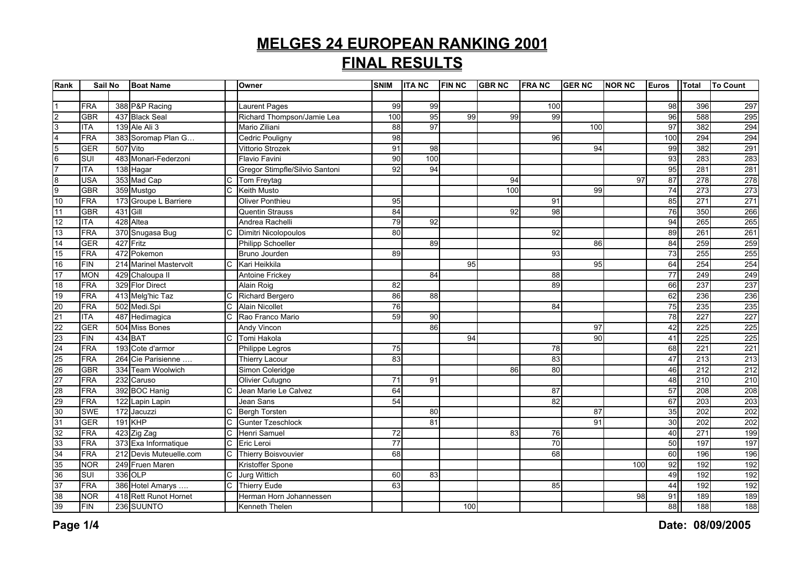| Rank                                                  | Sail No    |           | <b>Boat Name</b>        |                       | Owner                          | <b>SNIM</b>     | <b>ITANC</b> | <b>FIN NC</b> | <b>GBRNC</b> | <b>FRANC</b> | <b>GERNC</b> | <b>NOR NC</b> | <b>Euros</b> | Total | <b>To Count</b> |
|-------------------------------------------------------|------------|-----------|-------------------------|-----------------------|--------------------------------|-----------------|--------------|---------------|--------------|--------------|--------------|---------------|--------------|-------|-----------------|
|                                                       |            |           |                         |                       |                                |                 |              |               |              |              |              |               |              |       |                 |
|                                                       | <b>FRA</b> |           | 388 P&P Racing          |                       | <b>Laurent Pages</b>           | 99              | 99           |               |              | 100          |              |               | 98           | 396   | 297             |
| $\frac{2}{3}$                                         | <b>GBR</b> |           | 437 Black Seal          |                       | Richard Thompson/Jamie Lea     | 100             | 95           | 99            | 99           | 99           |              |               | 96           | 588   | 295             |
|                                                       | <b>ITA</b> |           | 139 Ale Ali 3           |                       | Mario Ziliani                  | 88              | 97           |               |              |              | 100          |               | 97           | 382   | 294             |
| $\frac{4}{5}$ $\frac{6}{7}$                           | <b>FRA</b> |           | 383 Soromap Plan G      |                       | <b>Cedric Pouligny</b>         | 98              |              |               |              | 96           |              |               | 100          | 294   | 294             |
|                                                       | <b>GER</b> | 507 Vito  |                         |                       | Vittorio Strozek               | 91              | 98           |               |              |              | 94           |               | 99           | 382   | 291             |
|                                                       | <b>SUI</b> |           | 483 Monari-Federzoni    |                       | <b>Flavio Favini</b>           | 90              | 100          |               |              |              |              |               | 93           | 283   | 283             |
|                                                       | <b>ITA</b> |           | 138 Hagar               |                       | Gregor Stimpfle/Silvio Santoni | 92              | 94           |               |              |              |              |               | 95           | 281   | 281             |
| $\begin{array}{c}\n8 \\ 9 \\ 10\n\end{array}$         | <b>USA</b> |           | 353 Mad Cap             | $\mathsf{C}$          | Tom Freytag                    |                 |              |               | 94           |              |              | 97            | 87           | 278   | 278             |
|                                                       | <b>GBR</b> |           | 359 Mustgo              | $\overline{C}$        | Keith Musto                    |                 |              |               | 100          |              | 99           |               | 74           | 273   | 273             |
|                                                       | FRA        |           | 173 Groupe L Barriere   |                       | Oliver Ponthieu                | 95              |              |               |              | 91           |              |               | 85           | 271   | 271             |
| 11                                                    | <b>GBR</b> | 431 Gill  |                         |                       | <b>Quentin Strauss</b>         | 84              |              |               | 92           | 98           |              |               | 76           | 350   | 266             |
| 12                                                    | <b>ITA</b> |           | 428 Altea               |                       | Andrea Rachelli                | 79              | 92           |               |              |              |              |               | 94           | 265   | 265             |
| $\frac{1}{13}$                                        | <b>FRA</b> |           | 370 Snugasa Bug         | $\mathsf{C}$          | Dimitri Nicolopoulos           | 80              |              |               |              | 92           |              |               | 89           | 261   | 261             |
| 14                                                    | <b>GER</b> | 427 Fritz |                         |                       | <b>Philipp Schoeller</b>       |                 | 89           |               |              |              | 86           |               | 84           | 259   | 259             |
| 15                                                    | <b>FRA</b> |           | 472 Pokemon             |                       | Bruno Jourden                  | 89              |              |               |              | 93           |              |               | 73           | 255   | 255             |
| 16                                                    | <b>FIN</b> |           | 214 Marinel Mastervolt  | C                     | Kari Heikkila                  |                 |              | 95            |              |              | 95           |               | 64           | 254   | 254             |
| 17                                                    | <b>MON</b> |           | 429 Chaloupa II         |                       | <b>Antoine Frickey</b>         |                 | 84           |               |              | 88           |              |               | 77           | 249   | 249             |
| 18                                                    | <b>FRA</b> |           | 329 Flor Direct         |                       | Alain Roig                     | 82              |              |               |              | 89           |              |               | 66           | 237   | 237             |
| 19                                                    | FRA        |           | 413 Melg'hic Taz        | C                     | Richard Bergero                | 86              | 88           |               |              |              |              |               | 62           | 236   | 236             |
| $\frac{20}{21}$                                       | <b>FRA</b> |           | 502 Medi.Spi            | C                     | <b>Alain Nicollet</b>          | 76              |              |               |              | 84           |              |               | 75           | 235   | 235             |
|                                                       | <b>ITA</b> |           | 487 Hedimagica          | $\mathsf{C}$          | Rao Franco Mario               | 59              | 90           |               |              |              |              |               | 78           | 227   | 227             |
|                                                       | <b>GER</b> |           | 504 Miss Bones          |                       | Andy Vincon                    |                 | 86           |               |              |              | 97           |               | 42           | 225   | 225             |
| $\frac{23}{24}$<br>$\frac{25}{26}$<br>$\frac{26}{27}$ | <b>FIN</b> | 434 BAT   |                         | $\mathsf{C}$          | Tomi Hakola                    |                 |              | 94            |              |              | 90           |               | 41           | 225   | 225             |
|                                                       | <b>FRA</b> |           | 193 Cote d'armor        |                       | Philippe Legros                | 75              |              |               |              | 78           |              |               | 68           | 221   | 221             |
|                                                       | <b>FRA</b> |           | 264 Cie Parisienne      |                       | <b>Thierry Lacour</b>          | 83              |              |               |              | 83           |              |               | 47           | 213   | 213             |
|                                                       | <b>GBR</b> |           | 334 Team Woolwich       |                       | Simon Coleridge                |                 |              |               | 86           | 80           |              |               | 46           | 212   | 212             |
|                                                       | <b>FRA</b> |           | 232 Caruso              |                       | Olivier Cutugno                | 71              | 91           |               |              |              |              |               | 48           | 210   | 210             |
|                                                       | <b>FRA</b> |           | 392 BOC Hanig           | C                     | Jean Marie Le Calvez           | 64              |              |               |              | 87           |              |               | 57           | 208   | 208             |
| $\frac{1}{28}$<br>$\frac{29}{30}$                     | <b>FRA</b> |           | 122 Lapin Lapin         |                       | Jean Sans                      | 54              |              |               |              | 82           |              |               | 67           | 203   | 203             |
|                                                       | <b>SWE</b> |           | 172 Jacuzzi             | C                     | <b>Bergh Torsten</b>           |                 | 80           |               |              |              | 87           |               | 35           | 202   | 202             |
|                                                       | <b>GER</b> |           | <b>191 KHP</b>          | C                     | <b>Gunter Tzeschlock</b>       |                 | 81           |               |              |              | 91           |               | 30           | 202   | 202             |
|                                                       | <b>FRA</b> |           | 423 Zig Zag             | $\mathsf C$           | Henri Samuel                   | 72              |              |               | 83           | 76           |              |               | 40           | 271   | 199             |
| $\frac{31}{32}$<br>$\frac{32}{35}$<br>$\frac{33}{36}$ | <b>FRA</b> |           | 373 Exa Informatique    | $\mathsf{C}$          | Eric Leroi                     | $\overline{77}$ |              |               |              | 70           |              |               | 50           | 197   | 197             |
|                                                       | <b>FRA</b> |           | 212 Devis Muteuelle.com | $\overline{c}$        | <b>Thierry Boisvouvier</b>     | 68              |              |               |              | 68           |              |               | 60           | 196   | 196             |
|                                                       | <b>NOR</b> |           | 249 Fruen Maren         |                       | Kristoffer Spone               |                 |              |               |              |              |              | 100           | 92           | 192   | 192             |
|                                                       | SUI        |           | 336 OLP                 | C                     | <b>Jurg Wittich</b>            | 60              | 83           |               |              |              |              |               | 49           | 192   | 192             |
| 37                                                    | <b>FRA</b> |           | 386 Hotel Amarys        | $\overline{\text{c}}$ | <b>Thierry Eude</b>            | 63              |              |               |              | 85           |              |               | 44           | 192   | 192             |
| 38                                                    | <b>NOR</b> |           | 418 Rett Runot Hornet   |                       | Herman Horn Johannessen        |                 |              |               |              |              |              | 98            | 91           | 189   | 189             |
| 39                                                    | <b>FIN</b> |           | 236 SUUNTO              |                       | Kenneth Thelen                 |                 |              | 100           |              |              |              |               | 88           | 188   | 188             |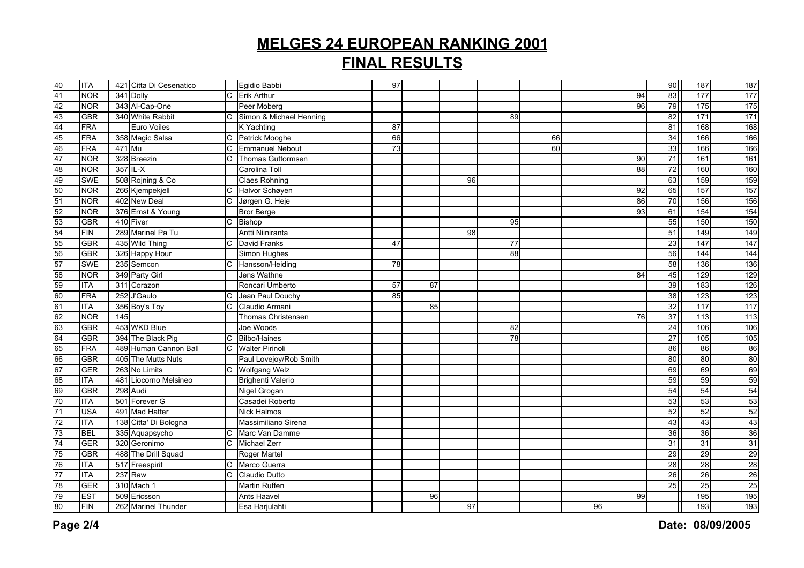| 40              | <b>ITA</b> |        | 421 Citta Di Cesenatico |                | Egidio Babbi             | 97 |    |    |    |                 |    |    | 90 | 187              | 187              |
|-----------------|------------|--------|-------------------------|----------------|--------------------------|----|----|----|----|-----------------|----|----|----|------------------|------------------|
| 41              | <b>NOR</b> |        | 341 Dolly               |                | C Erik Arthur            |    |    |    |    |                 |    | 94 | 83 | $\overline{177}$ | 177              |
| 42              | <b>NOR</b> |        | 343 Al-Cap-One          |                | Peer Moberg              |    |    |    |    |                 |    | 96 | 79 | 175              | 175              |
| 43              | <b>GBR</b> |        | 340 White Rabbit        | C              | Simon & Michael Henning  |    |    |    | 89 |                 |    |    | 82 | 171              | 171              |
| 44              | <b>FRA</b> |        | Euro Voiles             |                | K Yachting               | 87 |    |    |    |                 |    |    | 81 | 168              | 168              |
| 45              | <b>FRA</b> |        | 358 Magic Salsa         | C              | Patrick Mooghe           | 66 |    |    |    | 66              |    |    | 34 | 166              | 166              |
| 46              | FRA        | 471 Mu |                         | $\mathsf{C}$   | <b>Emmanuel Nebout</b>   | 73 |    |    |    | $\overline{60}$ |    |    | 33 | 166              | 166              |
| 47              | <b>NOR</b> |        | 328 Breezin             | $\overline{C}$ | Thomas Guttormsen        |    |    |    |    |                 |    | 90 | 71 | 161              | 161              |
| 48              | <b>NOR</b> |        | 357 IL-X                |                | Carolina Toll            |    |    |    |    |                 |    | 88 | 72 | 160              | 160              |
| 49              | <b>SWE</b> |        | 508 Rojning & Co        |                | <b>Claes Rohning</b>     |    |    | 96 |    |                 |    |    | 63 | 159              | 159              |
| 50              | <b>NOR</b> |        | 266 Kjempekjell         | C              | Halvor Schøyen           |    |    |    |    |                 |    | 92 | 65 | 157              | 157              |
| 51              | <b>NOR</b> |        | 402 New Deal            | C              | Jørgen G. Heje           |    |    |    |    |                 |    | 86 | 70 | 156              | 156              |
| 52              | <b>NOR</b> |        | 376 Ernst & Young       |                | <b>Bror Berge</b>        |    |    |    |    |                 |    | 93 | 61 | 154              | 154              |
| 53              | <b>GBR</b> |        | 410 Fiver               | $\mathsf C$    | Bishop                   |    |    |    | 95 |                 |    |    | 55 | 150              | 150              |
| 54              | <b>FIN</b> |        | 289 Marinel Pa Tu       |                | Antti Niiniranta         |    |    | 98 |    |                 |    |    | 51 | 149              | 149              |
| 55              | <b>GBR</b> |        | 435 Wild Thing          | C              | <b>David Franks</b>      | 47 |    |    | 77 |                 |    |    | 23 | 147              | 147              |
| 56              | <b>GBR</b> |        | 326 Happy Hour          |                | Simon Hughes             |    |    |    | 88 |                 |    |    | 56 | 144              | 144              |
| 57              | <b>SWE</b> |        | 235 Semcon              | C              | Hansson/Heiding          | 78 |    |    |    |                 |    |    | 58 | 136              | 136              |
| 58              | <b>NOR</b> |        | 349 Party Girl          |                | Jens Wathne              |    |    |    |    |                 |    | 84 | 45 | 129              | 129              |
| 59              | <b>ITA</b> |        | 311 Corazon             |                | Roncari Umberto          | 57 | 87 |    |    |                 |    |    | 39 | 183              | 126              |
| 60              | FRA        |        | 252 J'Gaulo             | C              | Jean Paul Douchy         | 85 |    |    |    |                 |    |    | 38 | 123              | $\overline{123}$ |
| 61              | <b>ITA</b> |        | 356 Boy's Toy           | C              | Claudio Armani           |    | 85 |    |    |                 |    |    | 32 | 117              | 117              |
| 62              | <b>NOR</b> | 145    |                         |                | Thomas Christensen       |    |    |    |    |                 |    | 76 | 37 | 113              | $\frac{1}{13}$   |
| 63              | <b>GBR</b> |        | 453 WKD Blue            |                | Joe Woods                |    |    |    | 82 |                 |    |    | 24 | 106              | 106              |
| 64              | <b>GBR</b> |        | 394 The Black Pig       | $\overline{C}$ | <b>Bilbo/Haines</b>      |    |    |    | 78 |                 |    |    | 27 | $\frac{105}{2}$  | 105              |
| 65              | <b>FRA</b> |        | 489 Human Cannon Ball   | $\overline{C}$ | <b>Walter Pirinoli</b>   |    |    |    |    |                 |    |    | 86 | 86               | 86               |
| 66              | <b>GBR</b> |        | 405 The Mutts Nuts      |                | Paul Lovejoy/Rob Smith   |    |    |    |    |                 |    |    | 80 | 80               | 80               |
| 67              | <b>GER</b> |        | 263 No Limits           | C              | <b>Wolfgang Welz</b>     |    |    |    |    |                 |    |    | 69 | 69               | 69               |
| 68              | <b>ITA</b> |        | 481 Liocorno Melsineo   |                | <b>Brighenti Valerio</b> |    |    |    |    |                 |    |    | 59 | 59               | 59               |
| 69              | <b>GBR</b> |        | 298 Audi                |                | Nigel Grogan             |    |    |    |    |                 |    |    | 54 | 54               | 54               |
| 70              | <b>ITA</b> |        | 501 Forever G           |                | Casadei Roberto          |    |    |    |    |                 |    |    | 53 | 53               | 53               |
| $\overline{71}$ | <b>USA</b> |        | 491 Mad Hatter          |                | <b>Nick Halmos</b>       |    |    |    |    |                 |    |    | 52 | 52               | 52               |
| 72              | <b>ITA</b> |        | 138 Citta' Di Bologna   |                | Massimiliano Sirena      |    |    |    |    |                 |    |    | 43 | 43               | 43               |
| 73              | <b>BEL</b> |        | 335 Aquapsycho          | C              | Marc Van Damme           |    |    |    |    |                 |    |    | 36 | 36               | 36               |
| 74              | GER        |        | 320 Geronimo            | C              | <b>Michael Zerr</b>      |    |    |    |    |                 |    |    | 31 | $\overline{31}$  | 31               |
| 75              | <b>GBR</b> |        | 488 The Drill Squad     |                | Roger Martel             |    |    |    |    |                 |    |    | 29 | 29               | 29               |
| 76              | <b>ITA</b> |        | 517 Freespirit          | C              | Marco Guerra             |    |    |    |    |                 |    |    | 28 | 28               | 28               |
| $\overline{77}$ | <b>ITA</b> |        | 237 Raw                 | $\overline{C}$ | Claudio Dutto            |    |    |    |    |                 |    |    | 26 | $\overline{26}$  | 26               |
| 78              | <b>GER</b> |        | 310 Mach 1              |                | <b>Martin Ruffen</b>     |    |    |    |    |                 |    |    | 25 | 25               | 25               |
| 79              | <b>EST</b> |        | 509 Ericsson            |                | Ants Haavel              |    | 96 |    |    |                 |    | 99 |    | 195              | 195              |
| 80              | <b>FIN</b> |        | 262 Marinel Thunder     |                | Esa Harjulahti           |    |    | 97 |    |                 | 96 |    |    | 193              | 193              |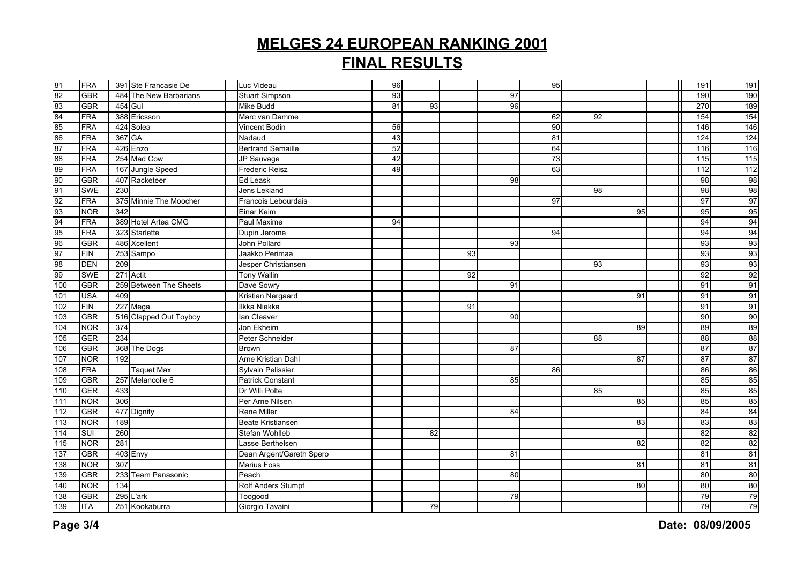|                         | FRA        |         | 391 Ste Francasie De   | Luc Videau                | 96 |    |    |    | 95 |                 |    | 191             | 191 |
|-------------------------|------------|---------|------------------------|---------------------------|----|----|----|----|----|-----------------|----|-----------------|-----|
|                         | <b>GBR</b> |         | 484 The New Barbarians | <b>Stuart Simpson</b>     | 93 |    |    | 97 |    |                 |    | 190             | 190 |
|                         | <b>GBR</b> | 454 Gul |                        | Mike Budd                 | 81 | 93 |    | 96 |    |                 |    | 270             | 189 |
|                         | <b>FRA</b> |         | 388 Ericsson           | Marc van Damme            |    |    |    |    | 62 | 92              |    | 154             | 154 |
| 81 82 83 84 85 86 87 88 | <b>FRA</b> |         | 424 Solea              | Vincent Bodin             | 56 |    |    |    | 90 |                 |    | 146             | 146 |
|                         | <b>FRA</b> | 367 GA  |                        | Nadaud                    | 43 |    |    |    | 81 |                 |    | 124             | 124 |
|                         | <b>FRA</b> |         | 426 Enzo               | <b>Bertrand Semaille</b>  | 52 |    |    |    | 64 |                 |    | 116             | 116 |
|                         | <b>FRA</b> |         | 254 Mad Cow            | JP Sauvage                | 42 |    |    |    | 73 |                 |    | 115             | 115 |
|                         | <b>FRA</b> |         | 167 Jungle Speed       | <b>Frederic Reisz</b>     | 49 |    |    |    | 63 |                 |    | 112             | 112 |
|                         | <b>GBR</b> |         | 407 Racketeer          | Ed Leask                  |    |    |    | 98 |    |                 |    | 98              | 98  |
|                         | <b>SWE</b> | 230     |                        | Jens Lekland              |    |    |    |    |    | $\overline{98}$ |    | 98              | 98  |
|                         | <b>FRA</b> |         | 375 Minnie The Moocher | Francois Lebourdais       |    |    |    |    | 97 |                 |    | 97              | 97  |
|                         | <b>NOR</b> | 342     |                        | Einar Keim                |    |    |    |    |    |                 | 95 | 95              | 95  |
|                         | <b>FRA</b> |         | 389 Hotel Artea CMG    | Paul Maxime               | 94 |    |    |    |    |                 |    | 94              | 94  |
|                         | <b>FRA</b> |         | 323 Starlette          | Dupin Jerome              |    |    |    |    | 94 |                 |    | 94              | 94  |
|                         | <b>GBR</b> |         | 486 Xcellent           | John Pollard              |    |    |    | 93 |    |                 |    | 93              | 93  |
|                         | <b>FIN</b> |         | 253 Sampo              | Jaakko Perimaa            |    |    | 93 |    |    |                 |    | 93              | 93  |
|                         | <b>DEN</b> | 209     |                        | Jesper Christiansen       |    |    |    |    |    | 93              |    | 93              | 93  |
|                         | <b>SWE</b> |         | 271 Actit              | <b>Tony Wallin</b>        |    |    | 92 |    |    |                 |    | $\overline{92}$ | 92  |
| 100                     | <b>GBR</b> |         | 259 Between The Sheets | Dave Sowry                |    |    |    | 91 |    |                 |    | 91              | 91  |
| 101                     | <b>USA</b> | 409     |                        | Kristian Nergaard         |    |    |    |    |    |                 | 91 | 91              | 91  |
| 102                     | <b>FIN</b> |         | 227 Mega               | Ilkka Niekka              |    |    | 91 |    |    |                 |    | 91              | 91  |
| 103                     | <b>GBR</b> |         | 516 Clapped Out Toyboy | lan Cleaver               |    |    |    | 90 |    |                 |    | 90              | 90  |
| 104                     | <b>NOR</b> | 374     |                        | Jon Ekheim                |    |    |    |    |    |                 | 89 | 89              | 89  |
| 105                     | GER        | 234     |                        | Peter Schneider           |    |    |    |    |    | 88              |    | $\overline{88}$ | 88  |
| 106                     | <b>GBR</b> |         | 368 The Dogs           | <b>Brown</b>              |    |    |    | 87 |    |                 |    | 87              | 87  |
| 107                     | <b>NOR</b> | 192     |                        | Arne Kristian Dahl        |    |    |    |    |    |                 | 87 | 87              | 87  |
| 108                     | <b>FRA</b> |         | <b>Taquet Max</b>      | <b>Sylvain Pelissier</b>  |    |    |    |    | 86 |                 |    | 86              | 86  |
| 109                     | <b>GBR</b> |         | 257 Melancolie 6       | Patrick Constant          |    |    |    | 85 |    |                 |    | 85              | 85  |
| 110                     | <b>GER</b> | 433     |                        | Dr Willi Polte            |    |    |    |    |    | 85              |    | 85              | 85  |
| 111                     | <b>NOR</b> | 306     |                        | Per Arne Nilsen           |    |    |    |    |    |                 | 85 | 85              | 85  |
| 112                     | <b>GBR</b> |         | 477 Dignity            | <b>Rene Miller</b>        |    |    |    | 84 |    |                 |    | 84              | 84  |
| 113                     | <b>NOR</b> | 189     |                        | <b>Beate Kristiansen</b>  |    |    |    |    |    |                 | 83 | 83              | 83  |
| 114                     | SUI        | 260     |                        | Stefan Wohlleb            |    | 82 |    |    |    |                 |    | 82              | 82  |
| 115                     | <b>NOR</b> | 281     |                        | Lasse Berthelsen          |    |    |    |    |    |                 | 82 | 82              | 82  |
| 137                     | <b>GBR</b> |         | 403 Envy               | Dean Argent/Gareth Spero  |    |    |    | 81 |    |                 |    | 81              | 81  |
| 138                     | <b>NOR</b> | 307     |                        | <b>Marius Foss</b>        |    |    |    |    |    |                 | 81 | 81              | 81  |
| 139                     | <b>GBR</b> |         | 233 Team Panasonic     | Peach                     |    |    |    | 80 |    |                 |    | 80              | 80  |
| 140                     | <b>NOR</b> | 134     |                        | <b>Rolf Anders Stumpf</b> |    |    |    |    |    |                 | 80 | 80              | 80  |
| 138                     | <b>GBR</b> |         | 295 L'ark              | Toogood                   |    |    |    | 79 |    |                 |    | 79              | 79  |
| 139                     | <b>ITA</b> |         | 251 Kookaburra         | Giorgio Tavaini           |    | 79 |    |    |    |                 |    | 79              | 79  |